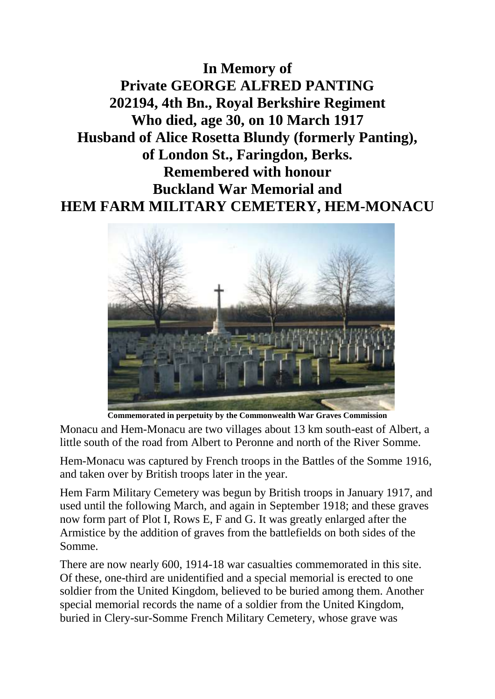**In Memory of Private GEORGE ALFRED PANTING 202194, 4th Bn., Royal Berkshire Regiment Who died, age 30, on 10 March 1917 Husband of Alice Rosetta Blundy (formerly Panting), of London St., Faringdon, Berks. Remembered with honour Buckland War Memorial and HEM FARM MILITARY CEMETERY, HEM-MONACU**



**Commemorated in perpetuity by the Commonwealth War Graves Commission** 

Monacu and Hem-Monacu are two villages about 13 km south-east of Albert, a little south of the road from Albert to Peronne and north of the River Somme.

Hem-Monacu was captured by French troops in the Battles of the Somme 1916, and taken over by British troops later in the year.

Hem Farm Military Cemetery was begun by British troops in January 1917, and used until the following March, and again in September 1918; and these graves now form part of Plot I, Rows E, F and G. It was greatly enlarged after the Armistice by the addition of graves from the battlefields on both sides of the Somme.

There are now nearly 600, 1914-18 war casualties commemorated in this site. Of these, one-third are unidentified and a special memorial is erected to one soldier from the United Kingdom, believed to be buried among them. Another special memorial records the name of a soldier from the United Kingdom, buried in Clery-sur-Somme French Military Cemetery, whose grave was